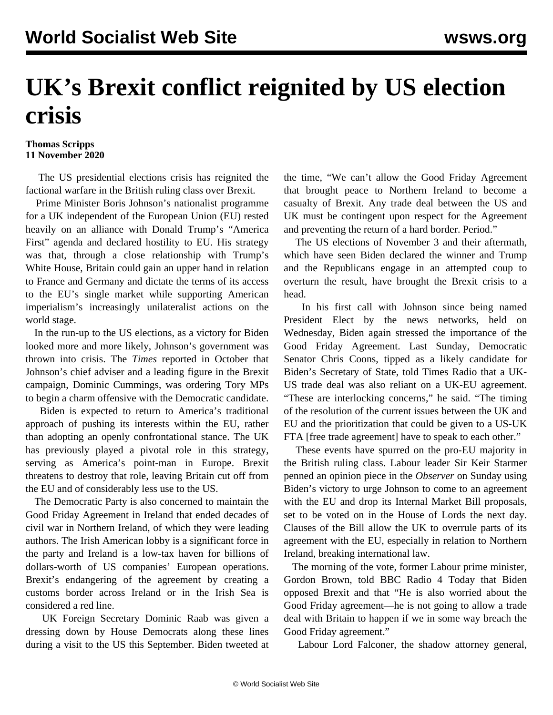## **UK's Brexit conflict reignited by US election crisis**

## **Thomas Scripps 11 November 2020**

 The US presidential elections crisis has reignited the factional warfare in the British ruling class over Brexit.

 Prime Minister Boris Johnson's nationalist programme for a UK independent of the European Union (EU) rested heavily on an alliance with Donald Trump's "America First" agenda and declared hostility to EU. His strategy was that, through a close relationship with Trump's White House, Britain could gain an upper hand in relation to France and Germany and dictate the terms of its access to the EU's single market while supporting American imperialism's increasingly unilateralist actions on the world stage.

 In the run-up to the US elections, as a victory for Biden looked more and more likely, Johnson's government was thrown into crisis. The *Times* reported in October that Johnson's chief adviser and a leading figure in the Brexit campaign, Dominic Cummings, was ordering Tory MPs to begin a charm offensive with the Democratic candidate.

 Biden is expected to return to America's traditional approach of pushing its interests within the EU, rather than adopting an openly confrontational stance. The UK has previously played a pivotal role in this strategy, serving as America's point-man in Europe. Brexit threatens to destroy that role, leaving Britain cut off from the EU and of considerably less use to the US.

 The Democratic Party is also concerned to maintain the Good Friday Agreement in Ireland that ended decades of civil war in Northern Ireland, of which they were leading authors. The Irish American lobby is a significant force in the party and Ireland is a low-tax haven for billions of dollars-worth of US companies' European operations. Brexit's endangering of the agreement by creating a customs border across Ireland or in the Irish Sea is considered a red line.

 UK Foreign Secretary Dominic Raab was given a dressing down by House Democrats along these lines during a visit to the US this September. Biden tweeted at the time, "We can't allow the Good Friday Agreement that brought peace to Northern Ireland to become a casualty of Brexit. Any trade deal between the US and UK must be contingent upon respect for the Agreement and preventing the return of a hard border. Period."

 The US elections of November 3 and their aftermath, which have seen Biden declared the winner and Trump and the Republicans engage in an attempted coup to overturn the result, have brought the Brexit crisis to a head.

 In his first call with Johnson since being named President Elect by the news networks, held on Wednesday, Biden again stressed the importance of the Good Friday Agreement. Last Sunday, Democratic Senator Chris Coons, tipped as a likely candidate for Biden's Secretary of State, told Times Radio that a UK-US trade deal was also reliant on a UK-EU agreement. "These are interlocking concerns," he said. "The timing of the resolution of the current issues between the UK and EU and the prioritization that could be given to a US-UK FTA [free trade agreement] have to speak to each other."

 These events have spurred on the pro-EU majority in the British ruling class. Labour leader Sir Keir Starmer penned an opinion piece in the *Observer* on Sunday using Biden's victory to urge Johnson to come to an agreement with the EU and drop its Internal Market Bill proposals, set to be voted on in the House of Lords the next day. Clauses of the Bill allow the UK to overrule parts of its agreement with the EU, especially in relation to Northern Ireland, breaking international law.

 The morning of the vote, former Labour prime minister, Gordon Brown, told BBC Radio 4 Today that Biden opposed Brexit and that "He is also worried about the Good Friday agreement—he is not going to allow a trade deal with Britain to happen if we in some way breach the Good Friday agreement."

Labour Lord Falconer, the shadow attorney general,